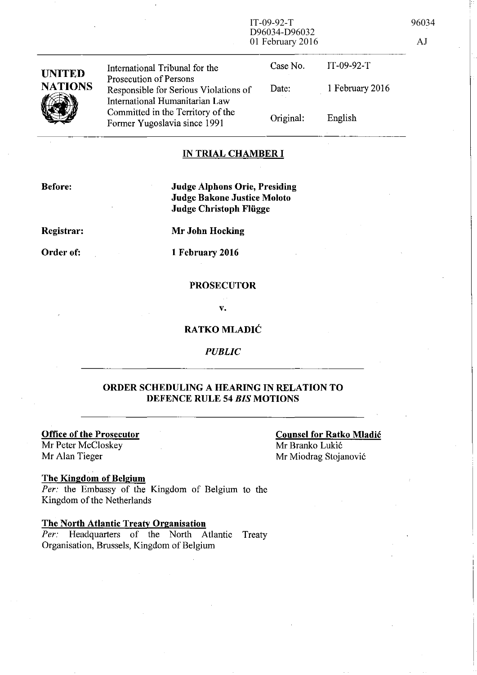IT-09-92-T 96034 D96034-D96032 01 February 2016 AJ

| <b>UNITED</b><br><b>NATIONS</b> | International Tribunal for the<br>Prosecution of Persons<br>Responsible for Serious Violations of   | Case No.<br>Date: | $IT-09-92-T$<br>1 February 2016 |
|---------------------------------|-----------------------------------------------------------------------------------------------------|-------------------|---------------------------------|
|                                 | International Humanitarian Law<br>Committed in the Territory of the<br>Former Yugoslavia since 1991 | Original:         | English                         |

## **IN TRIAL CHAMBER I**

**Before:** 

**Judge Alphons Orie, Presiding Judge Bakone Justice Moloto Judge Christoph Fliigge** 

**Registrar:** 

**Order of:** 

**Mr John Hocking** 

**1 February 2016** 

## **PROSECUTOR**

**v.** 

## **RATKO MLADIC**

*PUBLIC* 

## **ORDER SCHEDULING A HEARING IN RELATION TO DEFENCE RULE 54** *BIS* **MOTIONS**

Mr Peter McCloskey<br>Mr Alan Tieger

# **Office of the Prosecutor**<br>
Mr Peter McCloskey<br>
Mr Branko Lukić

Mr Miodrag Stojanović

## **The Kingdom of Belgium**

*Per:* the Embassy of the Kingdom of Belgium to the Kingdom of the Netherlands

## **The North Atlantic Treaty Organisation**

Per: Headquarters of the North Atlantic Treaty Organisation, Brussels, Kingdom of Belgium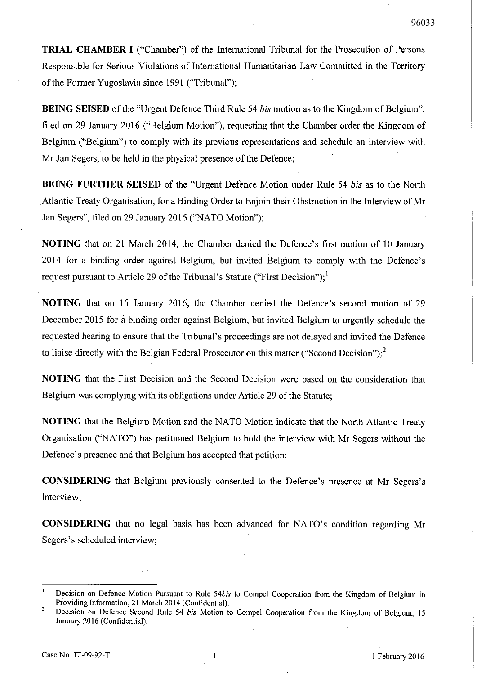**TRIAL CHAMBER I** ("Chamber") of the International Tribunal for the Prosecution of Persons Responsible for Serious Violations of International Humanitarian Law Committed in the Territory of the Former Yugoslavia since 1991 ("Tribunal");

**BEING SEISED** of the "Urgent Defence Third Rule 54 *his* motion as to the Kingdom of Belgium", filed on 29 January 2016 ("Belgium Motion"), requesting that the Chamber order the Kingdom of Belgium ("Belgium") to comply with its previous representations and schedule an interview with Mr Jan Segers, to be held in the physical presence of the Defence;

**BEING FURTHER SEISED** of the "Urgent Defence Motion under Rule 54 *his* as to the North Atlantic Treaty Organisation, for a Binding Order to Enjoin their Obstruction in the Interview of Mr Jan Segers", filed on 29 January 2016 ("NATO Motion");

**NOTING** that on 21 March 2014, the Chamber denied the Defence's first motion of 10 January 2014 for a binding order against Belgium, but invited Belgium to comply with the Defence's request pursuant to Article 29 of the Tribunal's Statute ("First Decision");  $\frac{1}{2}$ 

**NOTING** that on 15 January 2016, the Chamber denied the Defence's second motion of 29 December 2015 for a binding order against Belgium, but invited Belgium to urgently schedule the requested hearing to ensure that the Tribunal's proceedings are not delayed and invited the Defence to liaise directly with the Belgian Federal Prosecutor on this matter ("Second Decision");<sup>2</sup>

**NOTING** that the First Decision and the Second Decision were based on the consideration that Belgium was complying with its obligations under Article 29 of the Statute;

**NOTING** that the Belgium Motion and the NATO Motion indicate that the North Atlantic Treaty Organisation ("NATO") has petitioned Belgium to hold the interview with Mr Segers without the Defence's presence and that Belgium has accepted that petition;

**CONSIDERING** that Belgium previously consented to the Defence's presence at Mr Segers's interview;

**CONSIDERING** that no legal basis has been advanced for NATO's condition regarding Mr Segers's scheduled interview;

Decision on Defence Motion Pursuant to Rule *54bis* to Compel Cooperation from the Kingdom of Belgium in Providing Information, 21 March 2014 (Confidential).

 $\bar{2}$ Decision on Defence Second Rule 54 *bis* Motion to Compel Cooperation from the Kingdom of Belgium, 15 January 2016 (Confidential).